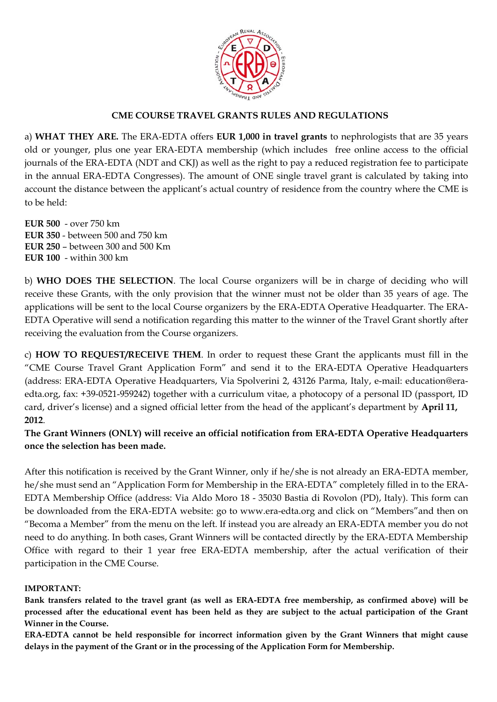

### **CME COURSE TRAVEL GRANTS RULES AND REGULATIONS**

a) **WHAT THEY ARE.** The ERA-EDTA offers **EUR 1,000 in travel grants** to nephrologists that are 35 years old or younger, plus one year ERA-EDTA membership (which includes free online access to the official journals of the ERA-EDTA (NDT and CKJ) as well as the right to pay a reduced registration fee to participate in the annual ERA-EDTA Congresses). The amount of ONE single travel grant is calculated by taking into account the distance between the applicant's actual country of residence from the country where the CME is to be held:

**EUR 500** - over 750 km **EUR 350** - between 500 and 750 km **EUR 250** – between 300 and 500 Km **EUR 100** - within 300 km

b) **WHO DOES THE SELECTION**. The local Course organizers will be in charge of deciding who will receive these Grants, with the only provision that the winner must not be older than 35 years of age. The applications will be sent to the local Course organizers by the ERA-EDTA Operative Headquarter. The ERA-EDTA Operative will send a notification regarding this matter to the winner of the Travel Grant shortly after receiving the evaluation from the Course organizers.

c) **HOW TO REQUEST/RECEIVE THEM**. In order to request these Grant the applicants must fill in the "CME Course Travel Grant Application Form" and send it to the ERA-EDTA Operative Headquarters (address: ERA-EDTA Operative Headquarters, Via Spolverini 2, 43126 Parma, Italy, e-mail: education@eraedta.org, fax: +39-0521-959242) together with a curriculum vitae, a photocopy of a personal ID (passport, ID card, driver's license) and a signed official letter from the head of the applicant's department by **April 11, 2012**.

**The Grant Winners (ONLY) will receive an official notification from ERA-EDTA Operative Headquarters once the selection has been made.** 

After this notification is received by the Grant Winner, only if he/she is not already an ERA-EDTA member, he/she must send an "Application Form for Membership in the ERA-EDTA" completely filled in to the ERA-EDTA Membership Office (address: Via Aldo Moro 18 - 35030 Bastia di Rovolon (PD), Italy). This form can be downloaded from the ERA-EDTA website: go to www.era-edta.org and click on "Members"and then on "Becoma a Member" from the menu on the left. If instead you are already an ERA-EDTA member you do not need to do anything. In both cases, Grant Winners will be contacted directly by the ERA-EDTA Membership Office with regard to their 1 year free ERA-EDTA membership, after the actual verification of their participation in the CME Course.

#### **IMPORTANT:**

**Bank transfers related to the travel grant (as well as ERA-EDTA free membership, as confirmed above) will be processed after the educational event has been held as they are subject to the actual participation of the Grant Winner in the Course.** 

**ERA-EDTA cannot be held responsible for incorrect information given by the Grant Winners that might cause delays in the payment of the Grant or in the processing of the Application Form for Membership.**